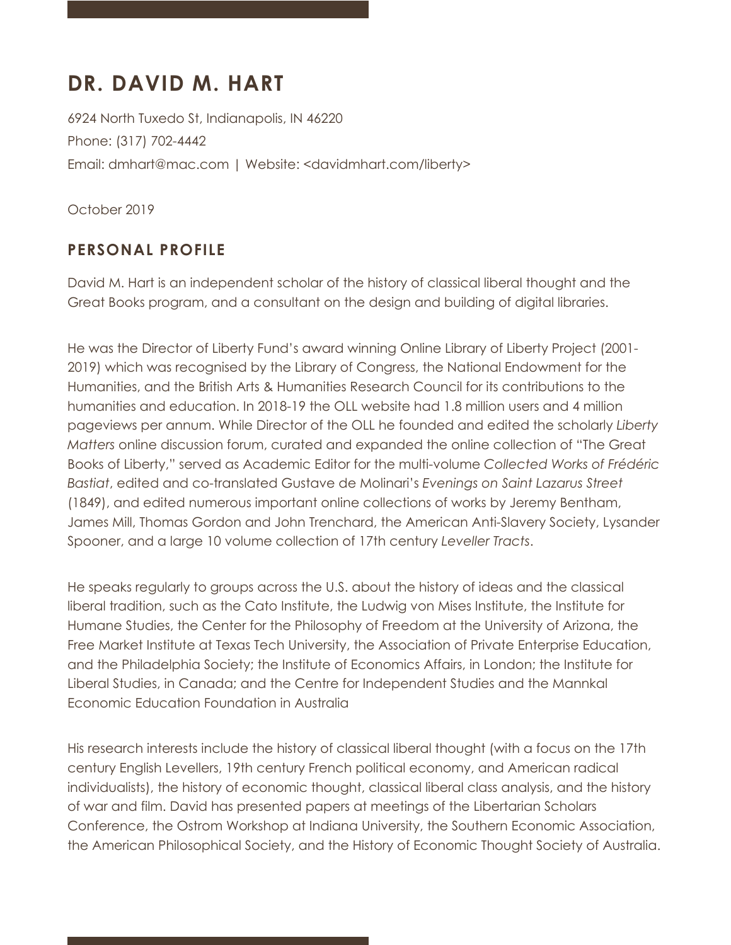# **DR. DAVID M. HART**

6924 North Tuxedo St, Indianapolis, IN 46220 Phone: (317) 702-4442 Email: dmhart@mac.com | Website: <davidmhart.com/liberty>

October 2019

## **PERSONAL PROFILE**

David M. Hart is an independent scholar of the history of classical liberal thought and the Great Books program, and a consultant on the design and building of digital libraries.

He was the Director of Liberty Fund's award winning Online Library of Liberty Project (2001- 2019) which was recognised by the Library of Congress, the National Endowment for the Humanities, and the British Arts & Humanities Research Council for its contributions to the humanities and education. In 2018-19 the OLL website had 1.8 million users and 4 million pageviews per annum. While Director of the OLL he founded and edited the scholarly *Liberty Matters* online discussion forum, curated and expanded the online collection of "The Great Books of Liberty," served as Academic Editor for the multi-volume *Collected Works of Frédéric Bastiat*, edited and co-translated Gustave de Molinari's *Evenings on Saint Lazarus Street* (1849), and edited numerous important online collections of works by Jeremy Bentham, James Mill, Thomas Gordon and John Trenchard, the American Anti-Slavery Society, Lysander Spooner, and a large 10 volume collection of 17th century *Leveller Tracts*.

He speaks regularly to groups across the U.S. about the history of ideas and the classical liberal tradition, such as the Cato Institute, the Ludwig von Mises Institute, the Institute for Humane Studies, the Center for the Philosophy of Freedom at the University of Arizona, the Free Market Institute at Texas Tech University, the Association of Private Enterprise Education, and the Philadelphia Society; the Institute of Economics Affairs, in London; the Institute for Liberal Studies, in Canada; and the Centre for Independent Studies and the Mannkal Economic Education Foundation in Australia

His research interests include the history of classical liberal thought (with a focus on the 17th century English Levellers, 19th century French political economy, and American radical individualists), the history of economic thought, classical liberal class analysis, and the history of war and film. David has presented papers at meetings of the Libertarian Scholars Conference, the Ostrom Workshop at Indiana University, the Southern Economic Association, the American Philosophical Society, and the History of Economic Thought Society of Australia.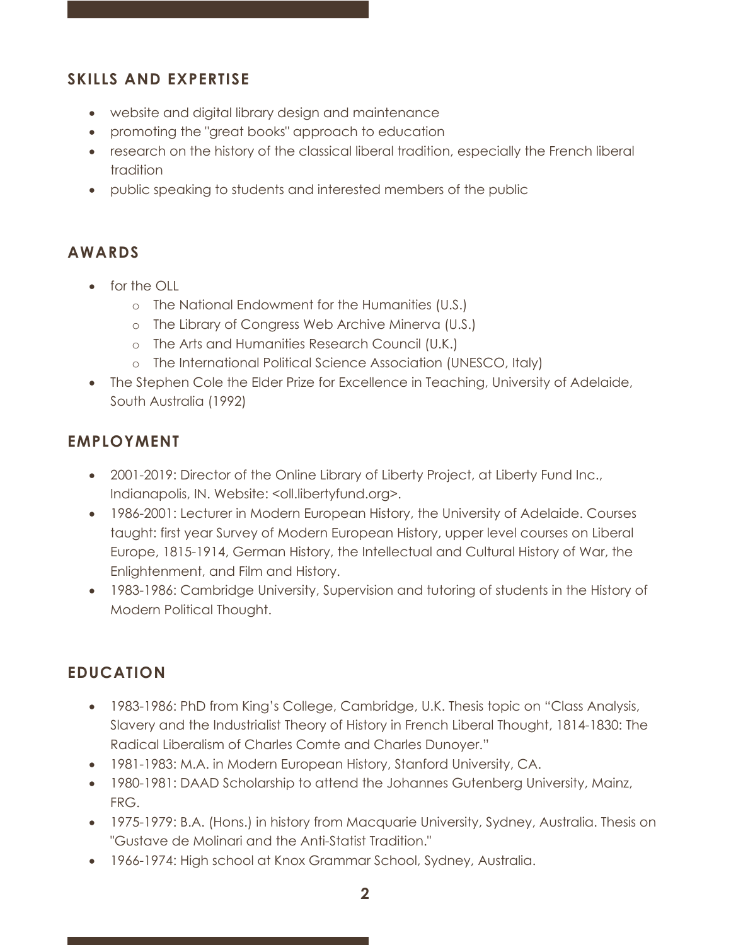#### **SKILLS AND EXPERTISE**

- website and digital library design and maintenance
- promoting the "great books" approach to education
- research on the history of the classical liberal tradition, especially the French liberal tradition
- public speaking to students and interested members of the public

#### **AWARDS**

- for the OLL
	- o The National Endowment for the Humanities (U.S.)
	- o The Library of Congress Web Archive Minerva (U.S.)
	- o The Arts and Humanities Research Council (U.K.)
	- o The International Political Science Association (UNESCO, Italy)
- The Stephen Cole the Elder Prize for Excellence in Teaching, University of Adelaide, South Australia (1992)

### **EMPLOYMENT**

- 2001-2019: Director of the Online Library of Liberty Project, at Liberty Fund Inc., Indianapolis, IN. Website: <oll.libertyfund.org>.
- 1986-2001: Lecturer in Modern European History, the University of Adelaide. Courses taught: first year Survey of Modern European History, upper level courses on Liberal Europe, 1815-1914, German History, the Intellectual and Cultural History of War, the Enlightenment, and Film and History.
- 1983-1986: Cambridge University, Supervision and tutoring of students in the History of Modern Political Thought.

#### **EDUCATION**

- 1983-1986: PhD from King's College, Cambridge, U.K. Thesis topic on "Class Analysis, Slavery and the Industrialist Theory of History in French Liberal Thought, 1814-1830: The Radical Liberalism of Charles Comte and Charles Dunoyer."
- 1981-1983: M.A. in Modern European History, Stanford University, CA.
- 1980-1981: DAAD Scholarship to attend the Johannes Gutenberg University, Mainz, FRG.
- 1975-1979: B.A. (Hons.) in history from Macquarie University, Sydney, Australia. Thesis on "Gustave de Molinari and the Anti-Statist Tradition."
- 1966-1974: High school at Knox Grammar School, Sydney, Australia.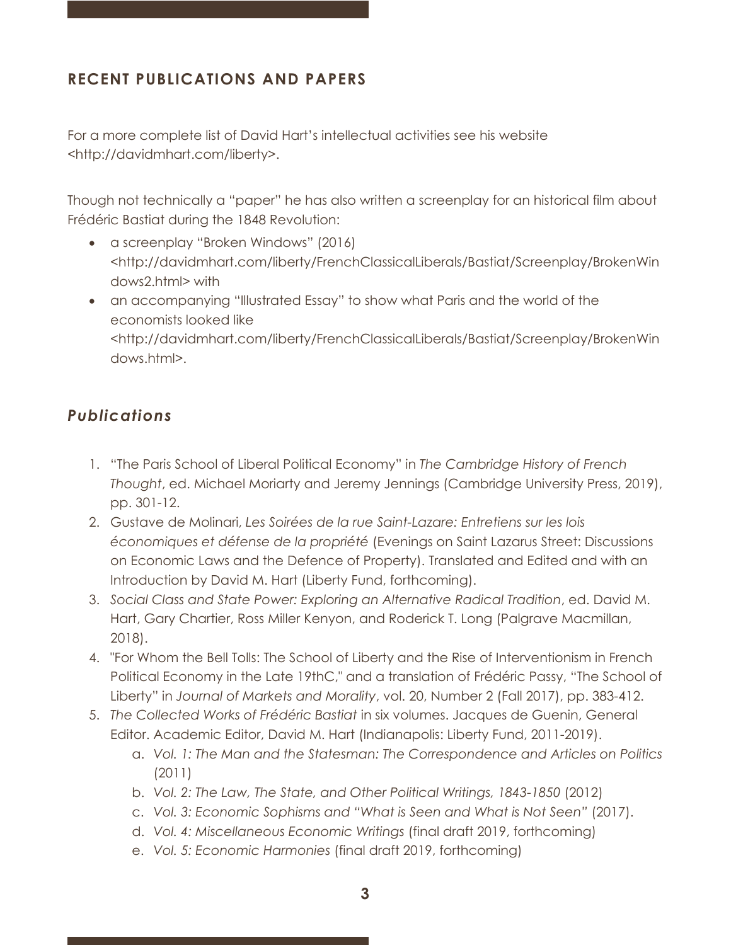## **RECENT PUBLICATIONS AND PAPERS**

For a more complete list of David Hart's intellectual activities see his website <http://davidmhart.com/liberty>.

Though not technically a "paper" he has also written a screenplay for an historical film about Frédéric Bastiat during the 1848 Revolution:

- a screenplay "Broken Windows" (2016) <http://davidmhart.com/liberty/FrenchClassicalLiberals/Bastiat/Screenplay/BrokenWin dows2.html> with
- an accompanying "Illustrated Essay" to show what Paris and the world of the economists looked like <http://davidmhart.com/liberty/FrenchClassicalLiberals/Bastiat/Screenplay/BrokenWin dows.html>.

### *Publications*

- 1. "The Paris School of Liberal Political Economy" in *The Cambridge History of French Thought*, ed. Michael Moriarty and Jeremy Jennings (Cambridge University Press, 2019), pp. 301-12.
- 2. Gustave de Molinari, *Les Soirées de la rue Saint-Lazare: Entretiens sur les lois économiques et défense de la propriété* (Evenings on Saint Lazarus Street: Discussions on Economic Laws and the Defence of Property). Translated and Edited and with an Introduction by David M. Hart (Liberty Fund, forthcoming).
- 3. *Social Class and State Power: Exploring an Alternative Radical Tradition*, ed. David M. Hart, Gary Chartier, Ross Miller Kenyon, and Roderick T. Long (Palgrave Macmillan, 2018).
- 4. "For Whom the Bell Tolls: The School of Liberty and the Rise of Interventionism in French Political Economy in the Late 19thC," and a translation of Frédéric Passy, "The School of Liberty" in *Journal of Markets and Morality*, vol. 20, Number 2 (Fall 2017), pp. 383-412.
- 5. *The Collected Works of Frédéric Bastiat* in six volumes. Jacques de Guenin, General Editor. Academic Editor, David M. Hart (Indianapolis: Liberty Fund, 2011-2019).
	- a. *Vol. 1: The Man and the Statesman: The Correspondence and Articles on Politics* (2011)
	- b. *Vol. 2: The Law, The State, and Other Political Writings, 1843-1850* (2012)
	- c. *Vol. 3: Economic Sophisms and "What is Seen and What is Not Seen"* (2017).
	- d. *Vol. 4: Miscellaneous Economic Writings* (final draft 2019, forthcoming)
	- e. *Vol. 5: Economic Harmonies* (final draft 2019, forthcoming)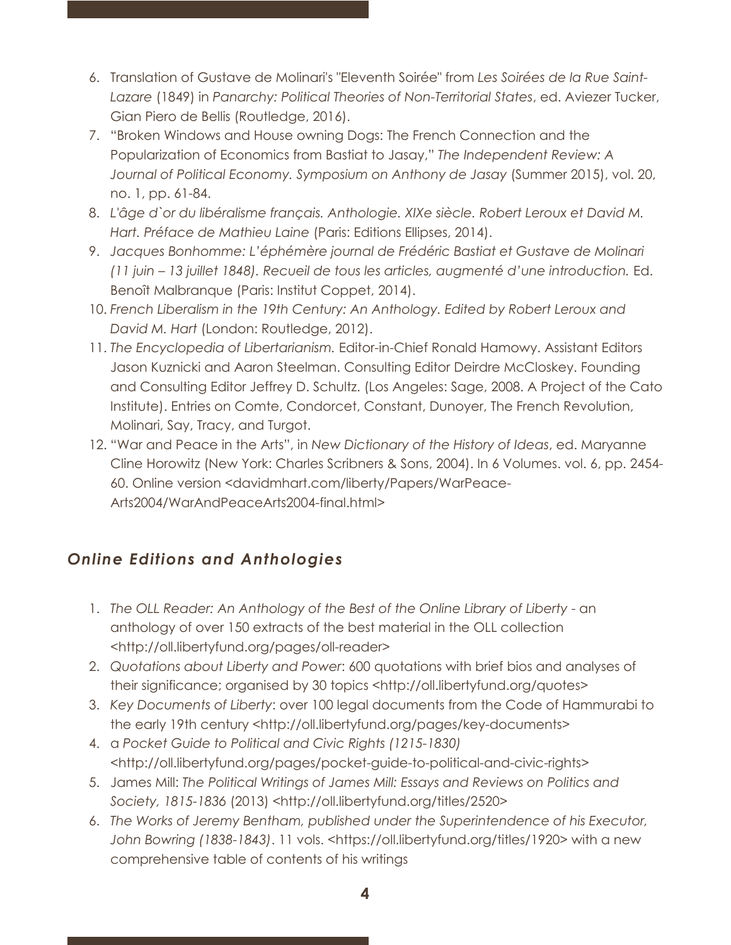- 6. Translation of Gustave de Molinari's "Eleventh Soirée" from *Les Soirées de la Rue Saint-Lazare* (1849) in *Panarchy: Political Theories of Non-Territorial States*, ed. Aviezer Tucker, Gian Piero de Bellis (Routledge, 2016).
- 7. "Broken Windows and House owning Dogs: The French Connection and the Popularization of Economics from Bastiat to Jasay," *The Independent Review: A Journal of Political Economy. Symposium on Anthony de Jasay* (Summer 2015), vol. 20, no. 1, pp. 61-84.
- 8. *L'âge d`or du libéralisme français. Anthologie. XIXe siècle. Robert Leroux et David M. Hart. Préface de Mathieu Laine* (Paris: Editions Ellipses, 2014).
- 9. *Jacques Bonhomme: L'éphémère journal de Frédéric Bastiat et Gustave de Molinari (11 juin – 13 juillet 1848). Recueil de tous les articles, augmenté d'une introduction.* Ed. Benoît Malbranque (Paris: Institut Coppet, 2014).
- 10. *French Liberalism in the 19th Century: An Anthology. Edited by Robert Leroux and David M. Hart* (London: Routledge, 2012).
- 11. *The Encyclopedia of Libertarianism.* Editor-in-Chief Ronald Hamowy. Assistant Editors Jason Kuznicki and Aaron Steelman. Consulting Editor Deirdre McCloskey. Founding and Consulting Editor Jeffrey D. Schultz. (Los Angeles: Sage, 2008. A Project of the Cato Institute). Entries on Comte, Condorcet, Constant, Dunoyer, The French Revolution, Molinari, Say, Tracy, and Turgot.
- 12. "War and Peace in the Arts", in *New Dictionary of the History of Ideas*, ed. Maryanne Cline Horowitz (New York: Charles Scribners & Sons, 2004). In 6 Volumes. vol. 6, pp. 2454- 60. Online version <davidmhart.com/liberty/Papers/WarPeace-Arts2004/WarAndPeaceArts2004-final.html>

## *Online Editions and Anthologies*

- 1. *The OLL Reader: An Anthology of the Best of the Online Library of Liberty* an anthology of over 150 extracts of the best material in the OLL collection <http://oll.libertyfund.org/pages/oll-reader>
- 2. *Quotations about Liberty and Power*: 600 quotations with brief bios and analyses of their significance; organised by 30 topics <http://oll.libertyfund.org/quotes>
- 3. *Key Documents of Liberty*: over 100 legal documents from the Code of Hammurabi to the early 19th century <http://oll.libertyfund.org/pages/key-documents>
- 4. a *Pocket Guide to Political and Civic Rights (1215-1830)* <http://oll.libertyfund.org/pages/pocket-guide-to-political-and-civic-rights>
- 5. James Mill: *The Political Writings of James Mill: Essays and Reviews on Politics and Society, 1815-1836* (2013) <http://oll.libertyfund.org/titles/2520>
- 6. *The Works of Jeremy Bentham, published under the Superintendence of his Executor, John Bowring (1838-1843)*. 11 vols. <https://oll.libertyfund.org/titles/1920> with a new comprehensive table of contents of his writings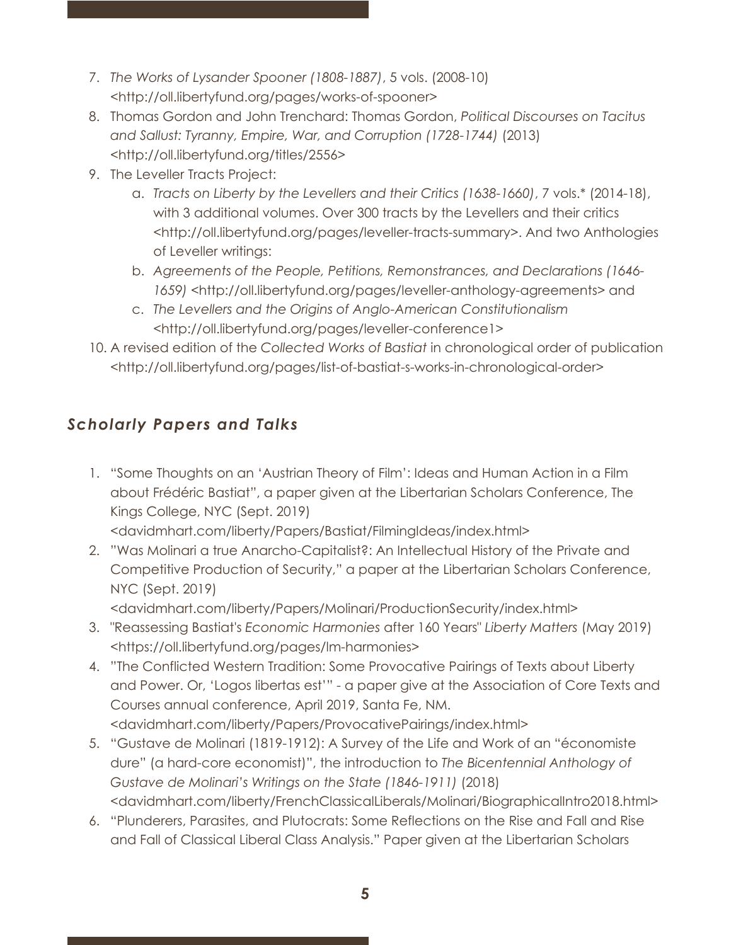- 7. *The Works of Lysander Spooner (1808-1887)*, 5 vols. (2008-10) <http://oll.libertyfund.org/pages/works-of-spooner>
- 8. Thomas Gordon and John Trenchard: Thomas Gordon, *Political Discourses on Tacitus and Sallust: Tyranny, Empire, War, and Corruption (1728-1744)* (2013) <http://oll.libertyfund.org/titles/2556>
- 9. The Leveller Tracts Project:
	- a. *Tracts on Liberty by the Levellers and their Critics (1638-1660)*, 7 vols.\* (2014-18), with 3 additional volumes. Over 300 tracts by the Levellers and their critics <http://oll.libertyfund.org/pages/leveller-tracts-summary>. And two Anthologies of Leveller writings:
	- b. *Agreements of the People, Petitions, Remonstrances, and Declarations (1646- 1659)* <http://oll.libertyfund.org/pages/leveller-anthology-agreements> and
	- c. *The Levellers and the Origins of Anglo-American Constitutionalism* <http://oll.libertyfund.org/pages/leveller-conference1>
- 10. A revised edition of the *Collected Works of Bastiat* in chronological order of publication <http://oll.libertyfund.org/pages/list-of-bastiat-s-works-in-chronological-order>

## *Scholarly Papers and Talks*

1. "Some Thoughts on an 'Austrian Theory of Film': Ideas and Human Action in a Film about Frédéric Bastiat", a paper given at the Libertarian Scholars Conference, The Kings College, NYC (Sept. 2019)

<davidmhart.com/liberty/Papers/Bastiat/FilmingIdeas/index.html>

2. "Was Molinari a true Anarcho-Capitalist?: An Intellectual History of the Private and Competitive Production of Security," a paper at the Libertarian Scholars Conference, NYC (Sept. 2019)

<davidmhart.com/liberty/Papers/Molinari/ProductionSecurity/index.html>

- 3. "Reassessing Bastiat's *Economic Harmonies* after 160 Years" *Liberty Matters* (May 2019) <https://oll.libertyfund.org/pages/lm-harmonies>
- 4. "The Conflicted Western Tradition: Some Provocative Pairings of Texts about Liberty and Power. Or, 'Logos libertas est'" - a paper give at the Association of Core Texts and Courses annual conference, April 2019, Santa Fe, NM. <davidmhart.com/liberty/Papers/ProvocativePairings/index.html>
- 5. "Gustave de Molinari (1819-1912): A Survey of the Life and Work of an "économiste dure" (a hard-core economist)", the introduction to *The Bicentennial Anthology of Gustave de Molinari's Writings on the State (1846-1911)* (2018) <davidmhart.com/liberty/FrenchClassicalLiberals/Molinari/BiographicalIntro2018.html>
- 6. "Plunderers, Parasites, and Plutocrats: Some Reflections on the Rise and Fall and Rise and Fall of Classical Liberal Class Analysis." Paper given at the Libertarian Scholars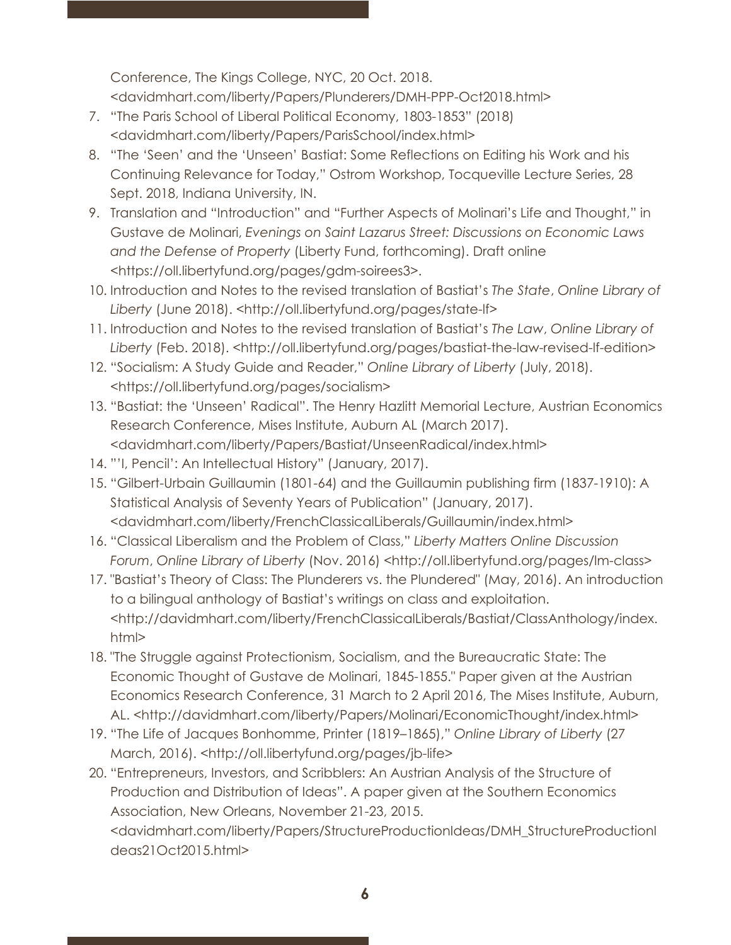Conference, The Kings College, NYC, 20 Oct. 2018.

<davidmhart.com/liberty/Papers/Plunderers/DMH-PPP-Oct2018.html>

- 7. "The Paris School of Liberal Political Economy, 1803-1853" (2018) <davidmhart.com/liberty/Papers/ParisSchool/index.html>
- 8. "The 'Seen' and the 'Unseen' Bastiat: Some Reflections on Editing his Work and his Continuing Relevance for Today," Ostrom Workshop, Tocqueville Lecture Series, 28 Sept. 2018, Indiana University, IN.
- 9. Translation and "Introduction" and "Further Aspects of Molinari's Life and Thought," in Gustave de Molinari, *Evenings on Saint Lazarus Street: Discussions on Economic Laws and the Defense of Property* (Liberty Fund, forthcoming). Draft online <https://oll.libertyfund.org/pages/gdm-soirees3>.
- 10. Introduction and Notes to the revised translation of Bastiat's *The State*, *Online Library of Liberty* (June 2018). <http://oll.libertyfund.org/pages/state-lf>
- 11. Introduction and Notes to the revised translation of Bastiat's *The Law*, *Online Library of*  Liberty (Feb. 2018). <http://oll.libertyfund.org/pages/bastiat-the-law-revised-lf-edition>
- 12. "Socialism: A Study Guide and Reader," *Online Library of Liberty* (July, 2018). <https://oll.libertyfund.org/pages/socialism>
- 13. "Bastiat: the 'Unseen' Radical". The Henry Hazlitt Memorial Lecture, Austrian Economics Research Conference, Mises Institute, Auburn AL (March 2017). <davidmhart.com/liberty/Papers/Bastiat/UnseenRadical/index.html>
- 14. "'I, Pencil': An Intellectual History" (January, 2017).
- 15. "Gilbert-Urbain Guillaumin (1801-64) and the Guillaumin publishing firm (1837-1910): A Statistical Analysis of Seventy Years of Publication" (January, 2017). <davidmhart.com/liberty/FrenchClassicalLiberals/Guillaumin/index.html>
- 16. "Classical Liberalism and the Problem of Class," *Liberty Matters Online Discussion Forum*, *Online Library of Liberty* (Nov. 2016) <http://oll.libertyfund.org/pages/lm-class>
- 17. "Bastiat's Theory of Class: The Plunderers vs. the Plundered" (May, 2016). An introduction to a bilingual anthology of Bastiat's writings on class and exploitation. <http://davidmhart.com/liberty/FrenchClassicalLiberals/Bastiat/ClassAnthology/index. html>
- 18. "The Struggle against Protectionism, Socialism, and the Bureaucratic State: The Economic Thought of Gustave de Molinari, 1845-1855." Paper given at the Austrian Economics Research Conference, 31 March to 2 April 2016, The Mises Institute, Auburn, AL. <http://davidmhart.com/liberty/Papers/Molinari/EconomicThought/index.html>
- 19. "The Life of Jacques Bonhomme, Printer (1819–1865)," *Online Library of Liberty* (27 March, 2016). <http://oll.libertyfund.org/pages/jb-life>
- 20. "Entrepreneurs, Investors, and Scribblers: An Austrian Analysis of the Structure of Production and Distribution of Ideas". A paper given at the Southern Economics Association, New Orleans, November 21-23, 2015. <davidmhart.com/liberty/Papers/StructureProductionIdeas/DMH\_StructureProductionI deas21Oct2015.html>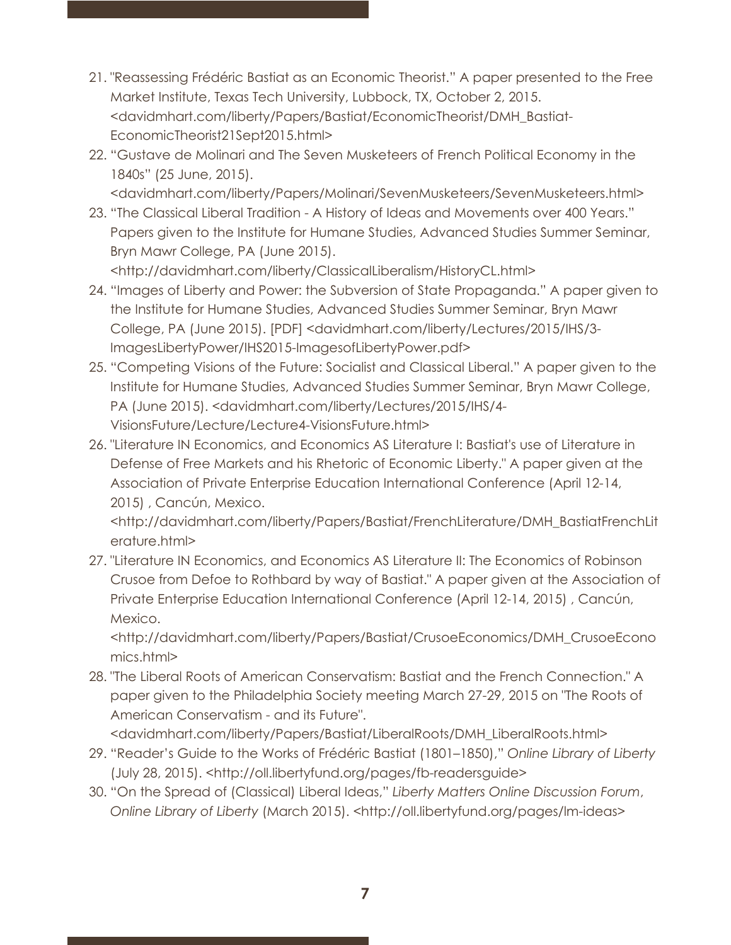- 21. "Reassessing Frédéric Bastiat as an Economic Theorist." A paper presented to the Free Market Institute, Texas Tech University, Lubbock, TX, October 2, 2015. <davidmhart.com/liberty/Papers/Bastiat/EconomicTheorist/DMH\_Bastiat-EconomicTheorist21Sept2015.html>
- 22. "Gustave de Molinari and The Seven Musketeers of French Political Economy in the 1840s" (25 June, 2015).

<davidmhart.com/liberty/Papers/Molinari/SevenMusketeers/SevenMusketeers.html>

23. "The Classical Liberal Tradition - A History of Ideas and Movements over 400 Years." Papers given to the Institute for Humane Studies, Advanced Studies Summer Seminar, Bryn Mawr College, PA (June 2015).

<http://davidmhart.com/liberty/ClassicalLiberalism/HistoryCL.html>

- 24. "Images of Liberty and Power: the Subversion of State Propaganda." A paper given to the Institute for Humane Studies, Advanced Studies Summer Seminar, Bryn Mawr College, PA (June 2015). [PDF] <davidmhart.com/liberty/Lectures/2015/IHS/3- ImagesLibertyPower/IHS2015-ImagesofLibertyPower.pdf>
- 25. "Competing Visions of the Future: Socialist and Classical Liberal." A paper given to the Institute for Humane Studies, Advanced Studies Summer Seminar, Bryn Mawr College, PA (June 2015). <davidmhart.com/liberty/Lectures/2015/IHS/4- VisionsFuture/Lecture/Lecture4-VisionsFuture.html>
- 26. "Literature IN Economics, and Economics AS Literature I: Bastiat's use of Literature in Defense of Free Markets and his Rhetoric of Economic Liberty." A paper given at the Association of Private Enterprise Education International Conference (April 12-14, 2015) , Cancún, Mexico.

<http://davidmhart.com/liberty/Papers/Bastiat/FrenchLiterature/DMH\_BastiatFrenchLit erature.html>

27. "Literature IN Economics, and Economics AS Literature II: The Economics of Robinson Crusoe from Defoe to Rothbard by way of Bastiat." A paper given at the Association of Private Enterprise Education International Conference (April 12-14, 2015) , Cancún, Mexico.

<http://davidmhart.com/liberty/Papers/Bastiat/CrusoeEconomics/DMH\_CrusoeEcono mics.html>

28. "The Liberal Roots of American Conservatism: Bastiat and the French Connection." A paper given to the Philadelphia Society meeting March 27-29, 2015 on "The Roots of American Conservatism - and its Future".

<davidmhart.com/liberty/Papers/Bastiat/LiberalRoots/DMH\_LiberalRoots.html>

- 29. "Reader's Guide to the Works of Frédéric Bastiat (1801–1850)," *Online Library of Liberty* (July 28, 2015). <http://oll.libertyfund.org/pages/fb-readersguide>
- 30. "On the Spread of (Classical) Liberal Ideas," *Liberty Matters Online Discussion Forum*, *Online Library of Liberty* (March 2015). <http://oll.libertyfund.org/pages/lm-ideas>